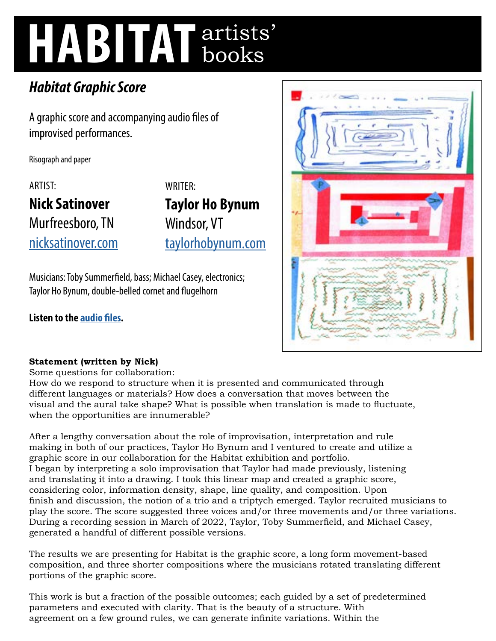# **HABITAT** artists' books

# *Habitat Graphic Score*

A graphic score and accompanying audio files of improvised performances.

Risograph and paper

ARTIST: **Nick Satinover**  Murfreesboro, TN [nicksatinover.com](http://nicksatinover.com)

WRITER: **Taylor Ho Bynum**  Windsor, VT [taylorhobynum.com](http://taylorhobynum.com)

Musicians: Toby Summerfield, bass; Michael Casey, electronics; Taylor Ho Bynum, double-belled cornet and flugelhorn

**Listen to the [audio files](http://nicksatinover.com/?page_id=1619).** 



## **Statement (written by Nick)**

Some questions for collaboration:

How do we respond to structure when it is presented and communicated through different languages or materials? How does a conversation that moves between the visual and the aural take shape? What is possible when translation is made to fluctuate, when the opportunities are innumerable?

After a lengthy conversation about the role of improvisation, interpretation and rule making in both of our practices, Taylor Ho Bynum and I ventured to create and utilize a graphic score in our collaboration for the Habitat exhibition and portfolio. I began by interpreting a solo improvisation that Taylor had made previously, listening and translating it into a drawing. I took this linear map and created a graphic score, considering color, information density, shape, line quality, and composition. Upon finish and discussion, the notion of a trio and a triptych emerged. Taylor recruited musicians to play the score. The score suggested three voices and/or three movements and/or three variations. During a recording session in March of 2022, Taylor, Toby Summerfield, and Michael Casey, generated a handful of different possible versions.

The results we are presenting for Habitat is the graphic score, a long form movement-based composition, and three shorter compositions where the musicians rotated translating different portions of the graphic score.

This work is but a fraction of the possible outcomes; each guided by a set of predetermined parameters and executed with clarity. That is the beauty of a structure. With agreement on a few ground rules, we can generate infinite variations. Within the